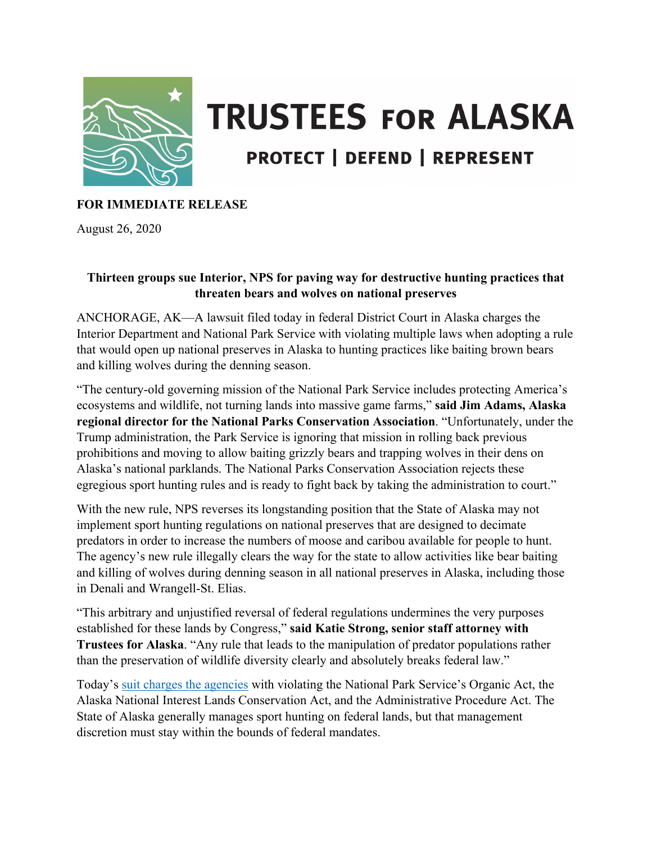

## **TRUSTEES FOR ALASKA PROTECT | DEFEND | REPRESENT**

## **FOR IMMEDIATE RELEASE**

August 26, 2020

## **Thirteen groups sue Interior, NPS for paving way for destructive hunting practices that threaten bears and wolves on national preserves**

ANCHORAGE, AK—A lawsuit filed today in federal District Court in Alaska charges the Interior Department and National Park Service with violating multiple laws when adopting a rule that would open up national preserves in Alaska to hunting practices like baiting brown bears and killing wolves during the denning season.

"The century-old governing mission of the National Park Service includes protecting America's ecosystems and wildlife, not turning lands into massive game farms," **said Jim Adams, Alaska regional director for the National Parks Conservation Association**. "Unfortunately, under the Trump administration, the Park Service is ignoring that mission in rolling back previous prohibitions and moving to allow baiting grizzly bears and trapping wolves in their dens on Alaska's national parklands. The National Parks Conservation Association rejects these egregious sport hunting rules and is ready to fight back by taking the administration to court."

With the new rule, NPS reverses its longstanding position that the State of Alaska may not implement sport hunting regulations on national preserves that are designed to decimate predators in order to increase the numbers of moose and caribou available for people to hunt. The agency's new rule illegally clears the way for the state to allow activities like bear baiting and killing of wolves during denning season in all national preserves in Alaska, including those in Denali and Wrangell-St. Elias.

"This arbitrary and unjustified reversal of federal regulations undermines the very purposes established for these lands by Congress," **said Katie Strong, senior staff attorney with Trustees for Alaska**. "Any rule that leads to the manipulation of predator populations rather than the preservation of wildlife diversity clearly and absolutely breaks federal law."

Today's [suit charges the agencies](https://www.trustees.org/wp-content/uploads/2020/08/2020-08-25-Complaint-FINAL-w-case-number.pdf) with violating the National Park Service's Organic Act, the Alaska National Interest Lands Conservation Act, and the Administrative Procedure Act. The State of Alaska generally manages sport hunting on federal lands, but that management discretion must stay within the bounds of federal mandates.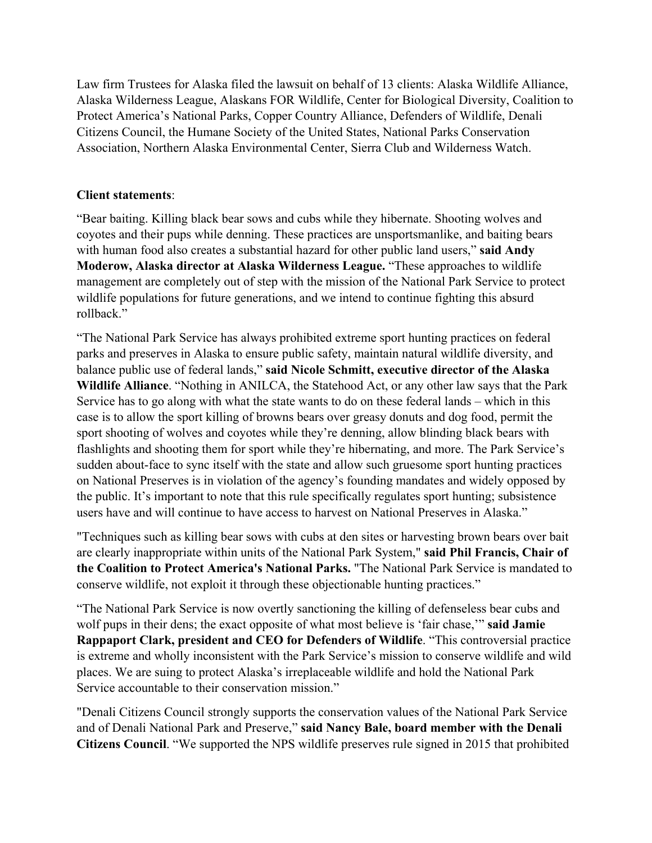Law firm Trustees for Alaska filed the lawsuit on behalf of 13 clients: Alaska Wildlife Alliance, Alaska Wilderness League, Alaskans FOR Wildlife, Center for Biological Diversity, Coalition to Protect America's National Parks, Copper Country Alliance, Defenders of Wildlife, Denali Citizens Council, the Humane Society of the United States, National Parks Conservation Association, Northern Alaska Environmental Center, Sierra Club and Wilderness Watch.

## **Client statements**:

"Bear baiting. Killing black bear sows and cubs while they hibernate. Shooting wolves and coyotes and their pups while denning. These practices are unsportsmanlike, and baiting bears with human food also creates a substantial hazard for other public land users," **said Andy Moderow, Alaska director at Alaska Wilderness League.** "These approaches to wildlife management are completely out of step with the mission of the National Park Service to protect wildlife populations for future generations, and we intend to continue fighting this absurd rollback."

"The National Park Service has always prohibited extreme sport hunting practices on federal parks and preserves in Alaska to ensure public safety, maintain natural wildlife diversity, and balance public use of federal lands," **said Nicole Schmitt, executive director of the Alaska Wildlife Alliance**. "Nothing in ANILCA, the Statehood Act, or any other law says that the Park Service has to go along with what the state wants to do on these federal lands – which in this case is to allow the sport killing of browns bears over greasy donuts and dog food, permit the sport shooting of wolves and coyotes while they're denning, allow blinding black bears with flashlights and shooting them for sport while they're hibernating, and more. The Park Service's sudden about-face to sync itself with the state and allow such gruesome sport hunting practices on National Preserves is in violation of the agency's founding mandates and widely opposed by the public. It's important to note that this rule specifically regulates sport hunting; subsistence users have and will continue to have access to harvest on National Preserves in Alaska."

"Techniques such as killing bear sows with cubs at den sites or harvesting brown bears over bait are clearly inappropriate within units of the National Park System," **said Phil Francis, Chair of the Coalition to Protect America's National Parks.** "The National Park Service is mandated to conserve wildlife, not exploit it through these objectionable hunting practices."

"The National Park Service is now overtly sanctioning the killing of defenseless bear cubs and wolf pups in their dens; the exact opposite of what most believe is 'fair chase,'" **said Jamie Rappaport Clark, president and CEO for Defenders of Wildlife**. "This controversial practice is extreme and wholly inconsistent with the Park Service's mission to conserve wildlife and wild places. We are suing to protect Alaska's irreplaceable wildlife and hold the National Park Service accountable to their conservation mission."

"Denali Citizens Council strongly supports the conservation values of the National Park Service and of Denali National Park and Preserve," **said Nancy Bale, board member with the Denali Citizens Council**. "We supported the NPS wildlife preserves rule signed in 2015 that prohibited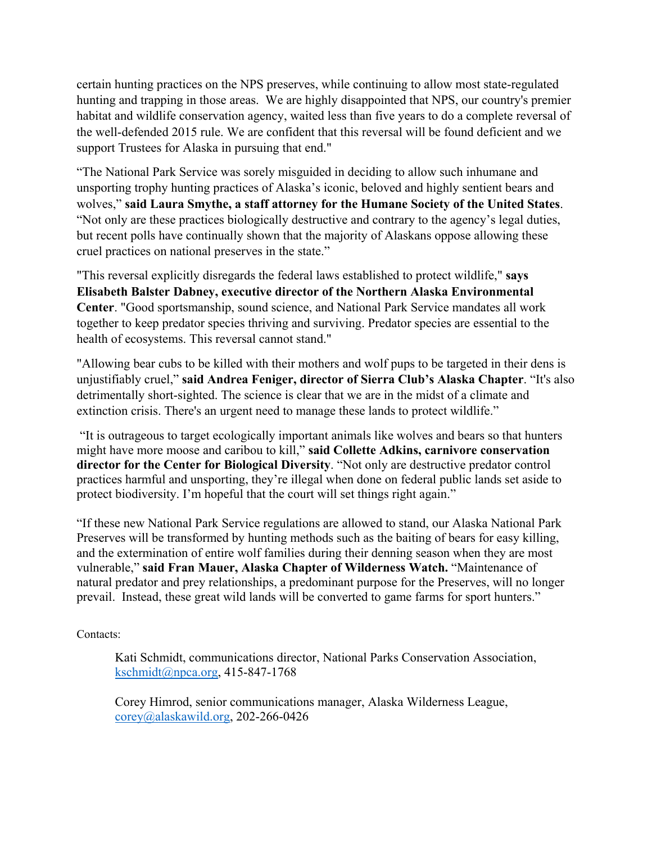certain hunting practices on the NPS preserves, while continuing to allow most state-regulated hunting and trapping in those areas. We are highly disappointed that NPS, our country's premier habitat and wildlife conservation agency, waited less than five years to do a complete reversal of the well-defended 2015 rule. We are confident that this reversal will be found deficient and we support Trustees for Alaska in pursuing that end."

"The National Park Service was sorely misguided in deciding to allow such inhumane and unsporting trophy hunting practices of Alaska's iconic, beloved and highly sentient bears and wolves," **said Laura Smythe, a staff attorney for the Humane Society of the United States**. "Not only are these practices biologically destructive and contrary to the agency's legal duties, but recent polls have continually shown that the majority of Alaskans oppose allowing these cruel practices on national preserves in the state."

"This reversal explicitly disregards the federal laws established to protect wildlife," **says Elisabeth Balster Dabney, executive director of the Northern Alaska Environmental Center**. "Good sportsmanship, sound science, and National Park Service mandates all work together to keep predator species thriving and surviving. Predator species are essential to the health of ecosystems. This reversal cannot stand."

"Allowing bear cubs to be killed with their mothers and wolf pups to be targeted in their dens is unjustifiably cruel," **said Andrea Feniger, director of Sierra Club's Alaska Chapter**. "It's also detrimentally short-sighted. The science is clear that we are in the midst of a climate and extinction crisis. There's an urgent need to manage these lands to protect wildlife."

"It is outrageous to target ecologically important animals like wolves and bears so that hunters might have more moose and caribou to kill," **said Collette Adkins, carnivore conservation director for the Center for Biological Diversity**. "Not only are destructive predator control practices harmful and unsporting, they're illegal when done on federal public lands set aside to protect biodiversity. I'm hopeful that the court will set things right again."

"If these new National Park Service regulations are allowed to stand, our Alaska National Park Preserves will be transformed by hunting methods such as the baiting of bears for easy killing, and the extermination of entire wolf families during their denning season when they are most vulnerable," **said Fran Mauer, Alaska Chapter of Wilderness Watch.** "Maintenance of natural predator and prey relationships, a predominant purpose for the Preserves, will no longer prevail. Instead, these great wild lands will be converted to game farms for sport hunters."

Contacts:

Kati Schmidt, communications director, National Parks Conservation Association, [kschmidt@npca.org,](mailto:kschmidt@npca.org) 415-847-1768

Corey Himrod, senior communications manager, Alaska Wilderness League, [corey@alaskawild.org,](mailto:corey@alaskawild.org) 202-266-0426